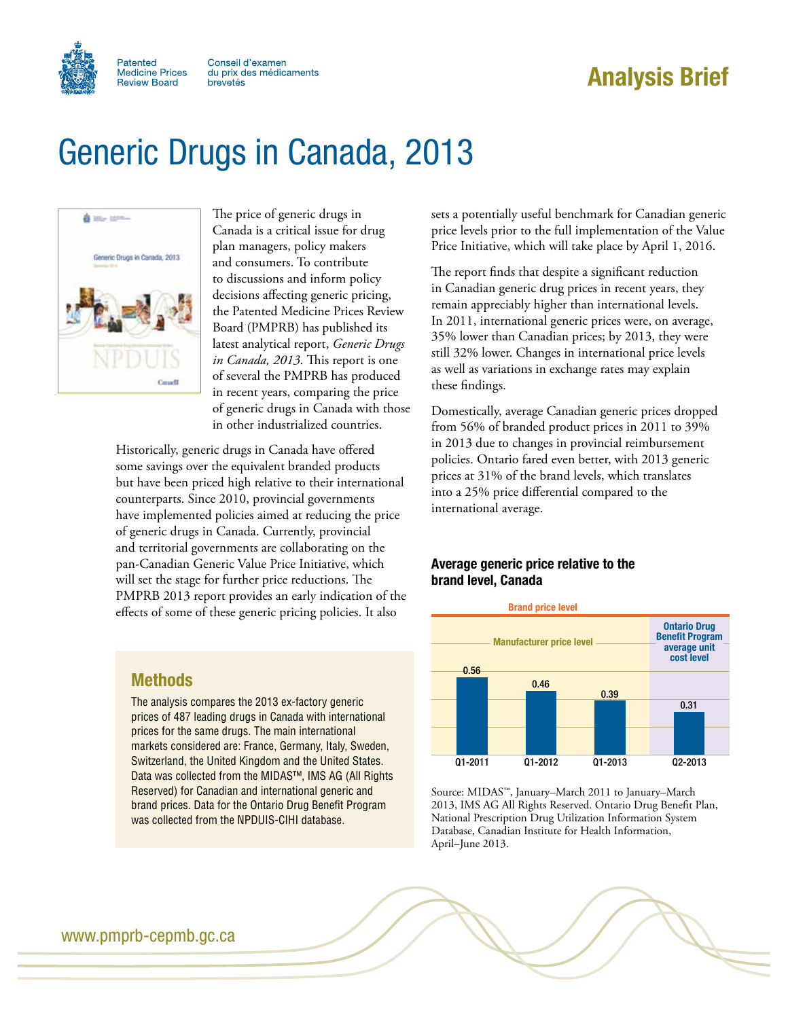

# Analysis Brief

# Generic Drugs in Canada, 2013



The price of generic drugs in Canada is a critical issue for drug plan managers, policy makers and consumers. To contribute to discussions and inform policy decisions affecting generic pricing, the Patented Medicine Prices Review Board (PMPRB) has published its latest analytical report, *Generic Drugs in Canada, 2013*. This report is one of several the PMPRB has produced in recent years, comparing the price of generic drugs in Canada with those in other industrialized countries.

Historically, generic drugs in Canada have offered some savings over the equivalent branded products but have been priced high relative to their international counterparts. Since 2010, provincial governments have implemented policies aimed at reducing the price of generic drugs in Canada. Currently, provincial and territorial governments are collaborating on the pan-Canadian Generic Value Price Initiative, which will set the stage for further price reductions. The PMPRB 2013 report provides an early indication of the effects of some of these generic pricing policies. It also

sets a potentially useful benchmark for Canadian generic price levels prior to the full implementation of the Value Price Initiative, which will take place by April 1, 2016.

The report finds that despite a significant reduction in Canadian generic drug prices in recent years, they remain appreciably higher than international levels. In 2011, international generic prices were, on average, 35% lower than Canadian prices; by 2013, they were still 32% lower. Changes in international price levels as well as variations in exchange rates may explain these findings.

Domestically, average Canadian generic prices dropped from 56% of branded product prices in 2011 to 39% in 2013 due to changes in provincial reimbursement policies. Ontario fared even better, with 2013 generic prices at 31% of the brand levels, which translates into a 25% price differential compared to the international average.

#### Average generic price relative to the brand level, Canada



Source: MIDAS™, January–March 2011 to January–March 2013, IMS AG All Rights Reserved. Ontario Drug Benefit Plan, National Prescription Drug Utilization Information System Database, Canadian Institute for Health Information, April–June 2013.

## Methods

The analysis compares the 2013 ex-factory generic prices of 487 leading drugs in Canada with international prices for the same drugs. The main international markets considered are: France, Germany, Italy, Sweden, Switzerland, the United Kingdom and the United States. Data was collected from the MIDAS™, IMS AG (All Rights Reserved) for Canadian and international generic and brand prices. Data for the Ontario Drug Benefit Program was collected from the NPDUIS-CIHI database.

www.pmprb-cepmb.gc.ca